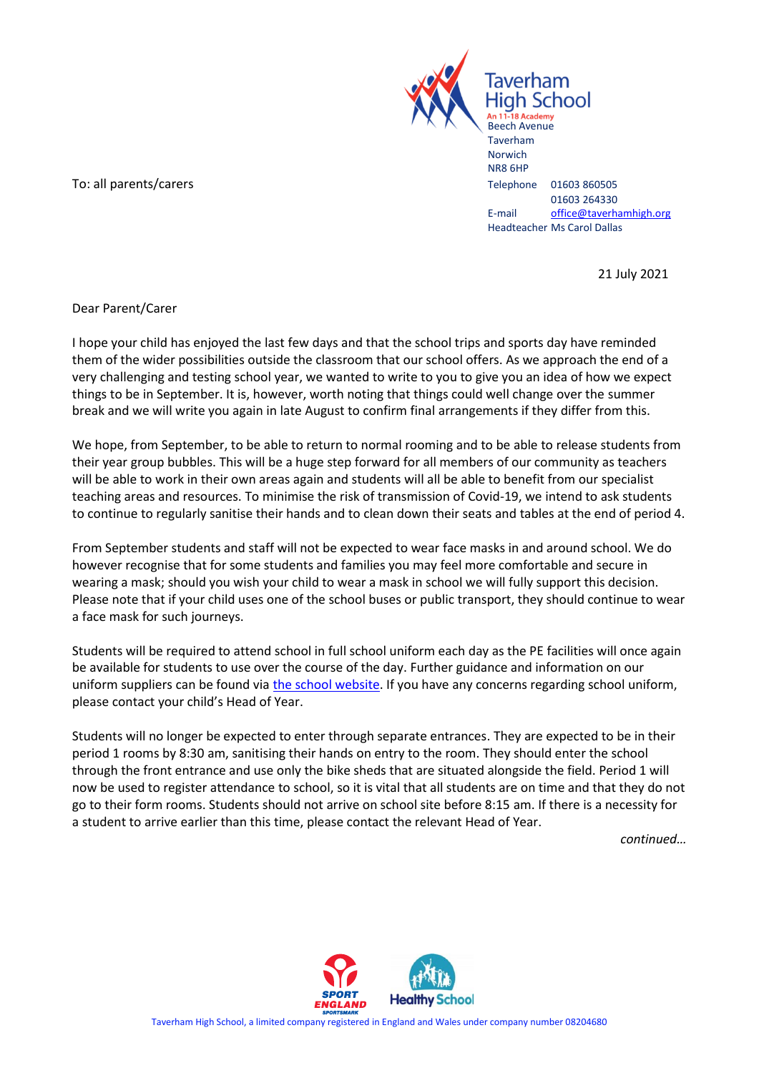

To: all parents/carers Telephone 01603 860505

01603 264330 E-mail [office@taverhamhigh.org](mailto:office@taverhamhigh.org) Headteacher Ms Carol Dallas

21 July 2021

Dear Parent/Carer

I hope your child has enjoyed the last few days and that the school trips and sports day have reminded them of the wider possibilities outside the classroom that our school offers. As we approach the end of a very challenging and testing school year, we wanted to write to you to give you an idea of how we expect things to be in September. It is, however, worth noting that things could well change over the summer break and we will write you again in late August to confirm final arrangements if they differ from this.

We hope, from September, to be able to return to normal rooming and to be able to release students from their year group bubbles. This will be a huge step forward for all members of our community as teachers will be able to work in their own areas again and students will all be able to benefit from our specialist teaching areas and resources. To minimise the risk of transmission of Covid-19, we intend to ask students to continue to regularly sanitise their hands and to clean down their seats and tables at the end of period 4.

From September students and staff will not be expected to wear face masks in and around school. We do however recognise that for some students and families you may feel more comfortable and secure in wearing a mask; should you wish your child to wear a mask in school we will fully support this decision. Please note that if your child uses one of the school buses or public transport, they should continue to wear a face mask for such journeys.

Students will be required to attend school in full school uniform each day as the PE facilities will once again be available for students to use over the course of the day. Further guidance and information on our uniform suppliers can be found via [the school website.](https://www.taverhamhigh.norfolk.sch.uk/students/uniform) If you have any concerns regarding school uniform, please contact your child's Head of Year.

Students will no longer be expected to enter through separate entrances. They are expected to be in their period 1 rooms by 8:30 am, sanitising their hands on entry to the room. They should enter the school through the front entrance and use only the bike sheds that are situated alongside the field. Period 1 will now be used to register attendance to school, so it is vital that all students are on time and that they do not go to their form rooms. Students should not arrive on school site before 8:15 am. If there is a necessity for a student to arrive earlier than this time, please contact the relevant Head of Year.

*continued…*

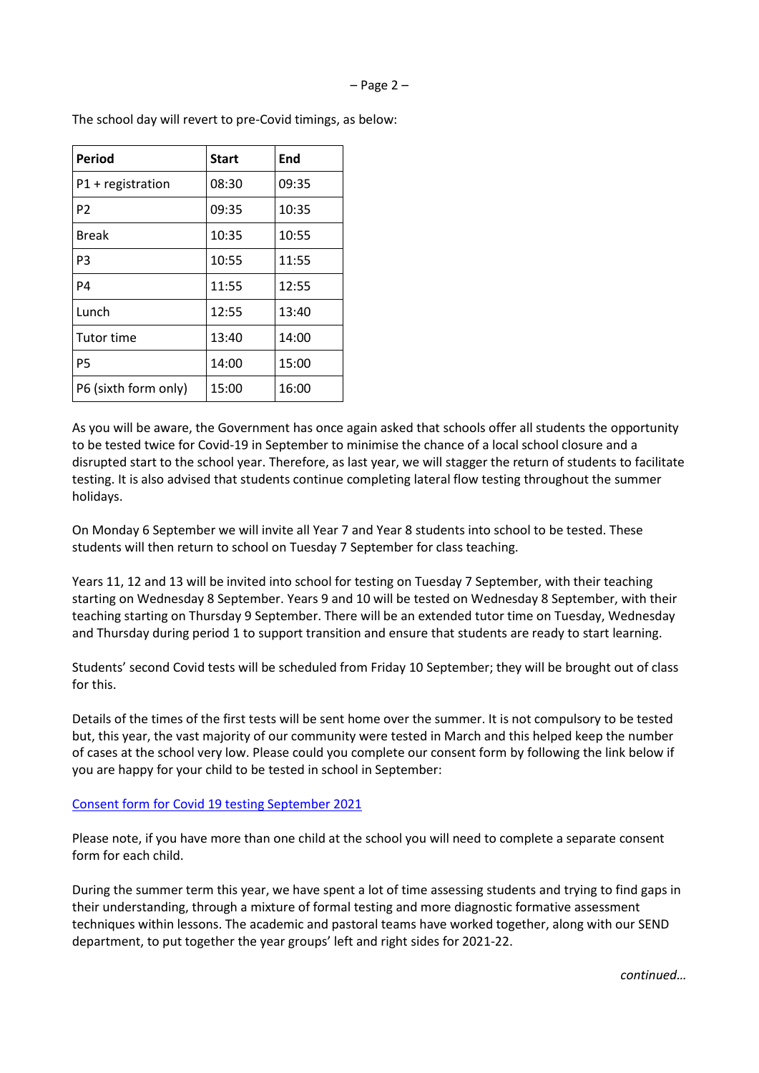| <b>Period</b>        | <b>Start</b> | End   |
|----------------------|--------------|-------|
| $P1 +$ registration  | 08:30        | 09:35 |
| P <sub>2</sub>       | 09:35        | 10:35 |
| <b>Break</b>         | 10:35        | 10:55 |
| P <sub>3</sub>       | 10:55        | 11:55 |
| P4                   | 11:55        | 12:55 |
| Lunch                | 12:55        | 13:40 |
| <b>Tutor time</b>    | 13:40        | 14:00 |
| P <sub>5</sub>       | 14:00        | 15:00 |
| P6 (sixth form only) | 15:00        | 16:00 |

The school day will revert to pre-Covid timings, as below:

As you will be aware, the Government has once again asked that schools offer all students the opportunity to be tested twice for Covid-19 in September to minimise the chance of a local school closure and a disrupted start to the school year. Therefore, as last year, we will stagger the return of students to facilitate testing. It is also advised that students continue completing lateral flow testing throughout the summer holidays.

On Monday 6 September we will invite all Year 7 and Year 8 students into school to be tested. These students will then return to school on Tuesday 7 September for class teaching.

Years 11, 12 and 13 will be invited into school for testing on Tuesday 7 September, with their teaching starting on Wednesday 8 September. Years 9 and 10 will be tested on Wednesday 8 September, with their teaching starting on Thursday 9 September. There will be an extended tutor time on Tuesday, Wednesday and Thursday during period 1 to support transition and ensure that students are ready to start learning.

Students' second Covid tests will be scheduled from Friday 10 September; they will be brought out of class for this.

Details of the times of the first tests will be sent home over the summer. It is not compulsory to be tested but, this year, the vast majority of our community were tested in March and this helped keep the number of cases at the school very low. Please could you complete our consent form by following the link below if you are happy for your child to be tested in school in September:

## Consent form [for Covid 19 testing September 2021](https://forms.office.com/Pages/ResponsePage.aspx?id=A4OLxq6_vUKwzakrubGl7C41nCBrzgJLowhu343A60pUMzBORDRBRjZCME04S0FKUEI1SU1DRTEzNi4u)

Please note, if you have more than one child at the school you will need to complete a separate consent form for each child.

During the summer term this year, we have spent a lot of time assessing students and trying to find gaps in their understanding, through a mixture of formal testing and more diagnostic formative assessment techniques within lessons. The academic and pastoral teams have worked together, along with our SEND department, to put together the year groups' left and right sides for 2021-22.